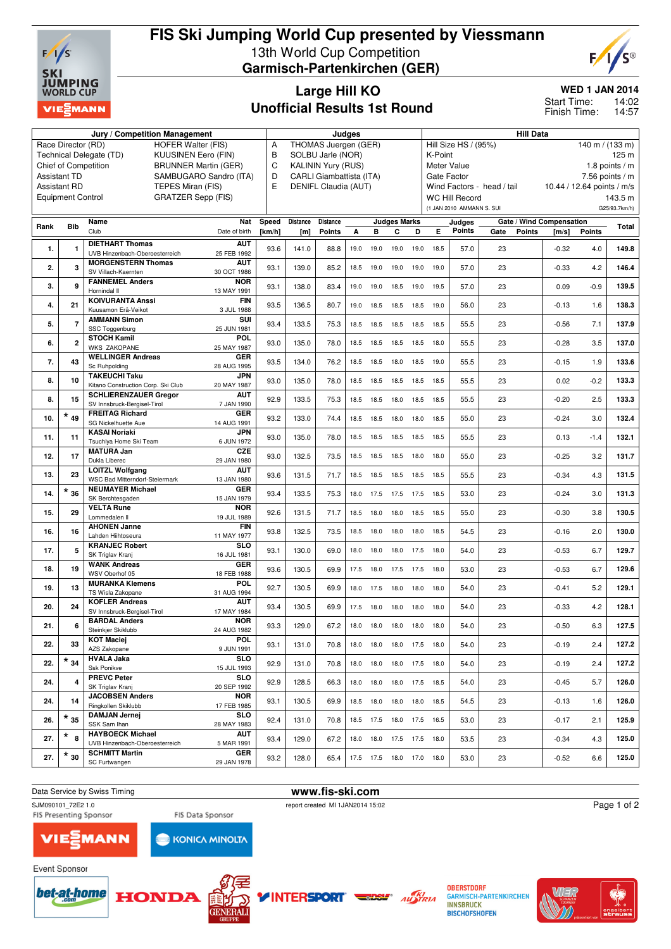

## **FIS Ski Jumping World Cup presented by Viessmann** 13th World Cup Competition **Garmisch-Partenkirchen (GER)**



## **Large Hill KO Unofficial Results 1st Round**

**WED 1 JAN 2014**

Start Time:

14:02 14:57 Finish Time:

|      |                          | Jury / Competition Management                                              | Judges                         |        |                      |                 |      |                                 | <b>Hill Data</b>                                          |      |                |                            |      |               |                            |               |               |
|------|--------------------------|----------------------------------------------------------------------------|--------------------------------|--------|----------------------|-----------------|------|---------------------------------|-----------------------------------------------------------|------|----------------|----------------------------|------|---------------|----------------------------|---------------|---------------|
|      | Race Director (RD)       | <b>HOFER Walter (FIS)</b>                                                  | THOMAS Juergen (GER)<br>Α      |        |                      |                 |      |                                 | Hill Size HS / (95%)<br>$140 \text{ m} / (133 \text{ m})$ |      |                |                            |      |               |                            |               |               |
|      |                          | Technical Delegate (TD)<br><b>KUUSINEN Eero (FIN)</b>                      | B<br>SOLBU Jarle (NOR)         |        |                      |                 |      |                                 | K-Point<br>125 <sub>m</sub>                               |      |                |                            |      |               |                            |               |               |
|      | Chief of Competition     | <b>BRUNNER Martin (GER)</b>                                                | C<br><b>KALININ Yury (RUS)</b> |        |                      |                 |      |                                 | Meter Value<br>1.8 points $/m$                            |      |                |                            |      |               |                            |               |               |
|      | <b>Assistant TD</b>      | D<br>CARLI Giambattista (ITA)                                              |                                |        |                      |                 |      | Gate Factor<br>7.56 points $/m$ |                                                           |      |                |                            |      |               |                            |               |               |
|      | <b>Assistant RD</b>      | SAMBUGARO Sandro (ITA)<br>TEPES Miran (FIS)                                | E                              |        | DENIFL Claudia (AUT) |                 |      |                                 |                                                           |      |                | Wind Factors - head / tail |      |               | 10.44 / 12.64 points / m/s |               |               |
|      | <b>Equipment Control</b> | <b>GRATZER Sepp (FIS)</b>                                                  |                                |        |                      |                 |      |                                 |                                                           |      |                | <b>WC Hill Record</b>      |      |               |                            |               | 143.5 m       |
|      |                          |                                                                            |                                |        |                      |                 |      |                                 |                                                           |      |                | (1 JAN 2010 AMMANN S. SUI  |      |               |                            |               | G25/93.7km/h) |
|      |                          |                                                                            |                                |        |                      |                 |      |                                 |                                                           |      |                |                            |      |               |                            |               |               |
| Rank | <b>Bib</b>               | Name                                                                       | Nat                            | Speed  | Distance             | <b>Distance</b> |      |                                 | <b>Judges Marks</b>                                       |      |                | Judges                     |      |               | Gate / Wind Compensation   |               | Total         |
|      |                          | Club<br>Date of birth                                                      |                                | [km/h] | [m]                  | <b>Points</b>   | A    | в                               | С                                                         | D    | E              | <b>Points</b>              | Gate | <b>Points</b> | [m/s]                      | <b>Points</b> |               |
|      |                          | <b>DIETHART Thomas</b><br><b>AUT</b>                                       |                                |        |                      |                 |      |                                 |                                                           |      |                |                            |      |               |                            |               |               |
| 1.   | $\mathbf{1}$             | UVB Hinzenbach-Oberoesterreich<br>25 FEB 1992                              |                                | 93.6   | 141.0                | 88.8            | 19.0 | 19.0                            | 19.0                                                      | 19.0 | 18.5           | 57.0                       | 23   |               | $-0.32$                    | 4.0           | 149.8         |
| 2.   | 3                        | <b>MORGENSTERN Thomas</b><br><b>AUT</b>                                    |                                | 93.1   | 139.0                | 85.2            | 18.5 | 19.0                            | 19.0                                                      | 19.0 | 19.0           | 57.0                       | 23   |               | $-0.33$                    | 4.2           | 146.4         |
|      |                          | SV Villach-Kaernten<br>30 OCT 1986                                         |                                |        |                      |                 |      |                                 |                                                           |      |                |                            |      |               |                            |               |               |
| 3.   | 9                        | <b>FANNEMEL Anders</b><br><b>NOR</b>                                       |                                | 93.1   | 138.0                | 83.4            | 19.0 | 19.0                            | 18.5                                                      | 19.0 | 19.5           | 57.0                       | 23   |               | 0.09                       | $-0.9$        | 139.5         |
|      |                          | Hornindal II<br>13 MAY 1991                                                |                                |        |                      |                 |      |                                 |                                                           |      |                |                            |      |               |                            |               |               |
| 4.   | 21                       | <b>KOIVURANTA Anssi</b>                                                    | <b>FIN</b>                     | 93.5   | 136.5                | 80.7            | 19.0 | 18.5                            | 18.5                                                      | 18.5 | 19.0           | 56.0                       | 23   |               | $-0.13$                    | 1.6           | 138.3         |
|      |                          | Kuusamon Erä-Veikot<br>3 JUL 1988                                          | SUI                            |        |                      |                 |      |                                 |                                                           |      |                |                            |      |               |                            |               |               |
| 5.   | $\overline{7}$           | <b>AMMANN Simon</b><br>SSC Toggenburg<br>25 JUN 1981                       |                                | 93.4   | 133.5                | 75.3            | 18.5 | 18.5                            | 18.5                                                      | 18.5 | 18.5           | 55.5                       | 23   |               | $-0.56$                    | 7.1           | 137.9         |
|      |                          | <b>STOCH Kamil</b><br>POL                                                  |                                |        |                      |                 |      |                                 |                                                           |      |                |                            |      |               |                            |               |               |
| 6.   | $\overline{2}$           | <b>WKS ZAKOPANE</b><br>25 MAY 1987                                         |                                | 93.0   | 135.0                | 78.0            | 18.5 | 18.5                            | 18.5                                                      |      | 18.5 18.0      | 55.5                       | 23   |               | $-0.28$                    | 3.5           | 137.0         |
|      |                          | <b>WELLINGER Andreas</b><br><b>GER</b>                                     |                                |        |                      |                 |      |                                 |                                                           |      |                |                            |      |               |                            |               |               |
| 7.   | 43                       | Sc Ruhpolding<br>28 AUG 1995                                               |                                | 93.5   | 134.0                | 76.2            | 18.5 | 18.5                            | 18.0                                                      | 18.5 | 19.0           | 55.5                       | 23   |               | $-0.15$                    | 1.9           | 133.6         |
|      |                          | <b>TAKEUCHI Taku</b><br><b>JPN</b>                                         |                                |        |                      |                 |      |                                 |                                                           |      |                |                            |      |               |                            |               |               |
| 8.   | 10                       | Kitano Construction Corp. Ski Club<br>20 MAY 1987                          |                                | 93.0   | 135.0                | 78.0            | 18.5 | 18.5                            | 18.5                                                      | 18.5 | 18.5           | 55.5                       | 23   |               | 0.02                       | $-0.2$        | 133.3         |
| 8.   | 15                       | <b>SCHLIERENZAUER Gregor</b><br><b>AUT</b>                                 |                                | 92.9   | 133.5                | 75.3            | 18.5 | 18.5                            | 18.0                                                      | 18.5 | 18.5           | 55.5                       | 23   |               | $-0.20$                    | 2.5           | 133.3         |
|      |                          | SV Innsbruck-Bergisel-Tirol<br>7 JAN 1990                                  |                                |        |                      |                 |      |                                 |                                                           |      |                |                            |      |               |                            |               |               |
| 10.  | $*_{49}$                 | <b>FREITAG Richard</b><br><b>GER</b>                                       |                                | 93.2   | 133.0                | 74.4            | 18.5 | 18.5                            | 18.0                                                      | 18.0 | 18.5           | 55.0                       | 23   |               | $-0.24$                    | 3.0           | 132.4         |
|      |                          | SG Nickelhuette Aue<br>14 AUG 1991                                         |                                |        |                      |                 |      |                                 |                                                           |      |                |                            |      |               |                            |               |               |
| 11.  | 11                       | <b>KASAI Noriaki</b><br><b>JPN</b><br>Tsuchiya Home Ski Team<br>6 JUN 1972 |                                | 93.0   | 135.0                | 78.0            |      | 18.5 18.5                       | 18.5                                                      |      | 18.5 18.5      | 55.5                       | 23   |               | 0.13                       | $-1.4$        | 132.1         |
|      |                          | <b>CZE</b><br><b>MATURA Jan</b>                                            |                                |        |                      |                 |      |                                 |                                                           |      |                |                            |      |               |                            |               |               |
| 12.  | 17                       | Dukla Liberec<br>29 JAN 1980                                               |                                | 93.0   | 132.5                | 73.5            | 18.5 | 18.5                            | 18.5                                                      | 18.0 | 18.0           | 55.0                       | 23   |               | $-0.25$                    | 3.2           | 131.7         |
|      |                          | <b>AUT</b><br><b>LOITZL Wolfgang</b>                                       |                                |        |                      |                 |      |                                 |                                                           |      |                |                            |      |               |                            |               |               |
| 13.  | 23                       | WSC Bad Mitterndorf-Steiermark<br>13 JAN 1980                              |                                | 93.6   | 131.5                | 71.7            | 18.5 | 18.5                            | 18.5                                                      |      | 18.5 18.5      | 55.5                       | 23   |               | $-0.34$                    | 4.3           | 131.5         |
|      | $^\star$ 36              | <b>NEUMAYER Michael</b><br><b>GER</b>                                      |                                |        |                      |                 |      |                                 |                                                           |      |                |                            |      |               |                            |               |               |
| 14.  |                          | SK Berchtesgaden<br>15 JAN 1979                                            |                                | 93.4   | 133.5                | 75.3            | 18.0 | 17.5                            | 17.5                                                      | 17.5 | 18.5           | 53.0                       | 23   |               | $-0.24$                    | 3.0           | 131.3         |
| 15.  | 29                       | <b>VELTA Rune</b><br><b>NOR</b>                                            |                                | 92.6   | 131.5                | 71.7            | 18.5 | 18.0                            | 18.0                                                      | 18.5 | 18.5           | 55.0                       | 23   |               | $-0.30$                    | 3.8           | 130.5         |
|      |                          | Lommedalen II<br>19 JUL 1989                                               |                                |        |                      |                 |      |                                 |                                                           |      |                |                            |      |               |                            |               |               |
| 16.  | 16                       | <b>AHONEN Janne</b>                                                        | <b>FIN</b>                     | 93.8   | 132.5                | 73.5            | 18.5 | 18.0                            | 18.0                                                      |      | 18.0 18.5      | 54.5                       | 23   |               | $-0.16$                    | 2.0           | 130.0         |
|      |                          | Lahden Hiihtoseura<br>11 MAY 1977                                          |                                |        |                      |                 |      |                                 |                                                           |      |                |                            |      |               |                            |               |               |
| 17.  | 5                        | <b>KRANJEC Robert</b><br><b>SLO</b><br>SK Triglav Kranj<br>16 JUL 1981     |                                | 93.1   | 130.0                | 69.0            | 18.0 | 18.0                            | 18.0                                                      | 17.5 | 18.0           | 54.0                       | 23   |               | $-0.53$                    | 6.7           | 129.7         |
|      |                          | <b>GER</b><br><b>WANK Andreas</b>                                          |                                |        |                      |                 |      |                                 |                                                           |      |                |                            |      |               |                            |               |               |
| 18.  | 19                       | WSV Oberhof 05<br>18 FEB 1988                                              |                                | 93.6   | 130.5                | 69.9            | 17.5 | 18.0                            | 17.5                                                      | 17.5 | 18.0           | 53.0                       | 23   |               | $-0.53$                    | 6.7           | 129.6         |
|      |                          | POL<br><b>MURANKA Klemens</b>                                              |                                |        |                      |                 |      |                                 |                                                           |      |                |                            |      |               |                            |               |               |
| 19.  | 13                       | TS Wisla Zakopane<br>31 AUG 1994                                           |                                | 92.7   | 130.5                | 69.9            | 18.0 | 17.5                            | 18.0                                                      | 18.0 | 18.0           | 54.0                       | 23   |               | $-0.41$                    | 5.2           | 129.1         |
|      |                          | <b>AUT</b><br><b>KOFLER Andreas</b>                                        |                                | 93.4   | 130.5                | 69.9            | 17.5 | 18.0                            | 18.0                                                      | 18.0 | 18.0           |                            |      |               |                            | 4.2           | 128.1         |
| 20.  | 24                       | SV Innsbruck-Bergisel-Tirol<br>17 MAY 1984                                 |                                |        |                      |                 |      |                                 |                                                           |      |                | 54.0                       | 23   |               | $-0.33$                    |               |               |
| 21.  | 6                        | <b>BARDAL Anders</b><br><b>NOR</b>                                         |                                | 93.3   | 129.0                | 67.2            |      | 18.0 18.0                       |                                                           |      | 18.0 18.0 18.0 | 54.0                       | 23   |               | $-0.50$                    | 6.3           | 127.5         |
|      |                          | 24 AUG 1982<br>Steinkjer Skiklubb                                          |                                |        |                      |                 |      |                                 |                                                           |      |                |                            |      |               |                            |               |               |
| 22.  | 33                       | <b>KOT Maciej</b><br><b>POL</b>                                            |                                | 93.1   | 131.0                | 70.8            | 18.0 | 18.0                            | 18.0 17.5 18.0                                            |      |                | 54.0                       | 23   |               | $-0.19$                    | 2.4           | 127.2         |
|      |                          | AZS Zakopane<br>9 JUN 1991<br><b>HVALA Jaka</b><br><b>SLO</b>              |                                |        |                      |                 |      |                                 |                                                           |      |                |                            |      |               |                            |               |               |
| 22.  | $*_{34}$                 | Ssk Ponikve<br>15 JUL 1993                                                 |                                | 92.9   | 131.0                | 70.8            |      | 18.0  18.0  18.0  17.5  18.0    |                                                           |      |                | 54.0                       | 23   |               | $-0.19$                    | 2.4           | 127.2         |
|      |                          | <b>PREVC Peter</b><br><b>SLO</b>                                           |                                |        |                      |                 |      |                                 |                                                           |      |                |                            |      |               |                            |               |               |
| 24.  | $\overline{4}$           | 20 SEP 1992<br>SK Triglav Kranj                                            |                                | 92.9   | 128.5                | 66.3            | 18.0 | 18.0                            | 18.0 17.5 18.5                                            |      |                | 54.0                       | 23   |               | $-0.45$                    | 5.7           | 126.0         |
|      |                          | <b>JACOBSEN Anders</b><br><b>NOR</b>                                       |                                |        |                      |                 |      |                                 |                                                           |      |                |                            |      |               |                            |               |               |
| 24.  | 14                       | Ringkollen Skiklubb<br>17 FEB 1985                                         |                                | 93.1   | 130.5                | 69.9            |      | 18.5 18.0 18.0 18.0 18.5        |                                                           |      |                | 54.5                       | 23   |               | $-0.13$                    | 1.6           | 126.0         |
| 26.  | $^\star$ 35              | <b>DAMJAN Jernej</b><br><b>SLO</b>                                         |                                | 92.4   | 131.0                | 70.8            |      | 18.5 17.5 18.0 17.5 16.5        |                                                           |      |                | 53.0                       | 23   |               | $-0.17$                    | 2.1           | 125.9         |
|      |                          | SSK Sam Ihan<br>28 MAY 1983                                                |                                |        |                      |                 |      |                                 |                                                           |      |                |                            |      |               |                            |               |               |
| 27.  | $\star$<br>$\mathbf{a}$  | <b>HAYBOECK Michael</b><br><b>AUT</b>                                      |                                | 93.4   | 129.0                | 67.2            |      | 18.0 18.0 17.5 17.5 18.0        |                                                           |      |                | 53.5                       | 23   |               | $-0.34$                    | 4.3           | 125.0         |
|      |                          | UVB Hinzenbach-Oberoesterreich<br>5 MAR 1991                               |                                |        |                      |                 |      |                                 |                                                           |      |                |                            |      |               |                            |               |               |
| 27.  | $*_{30}$                 | <b>SCHMITT Martin</b><br><b>GER</b><br>SC Furtwangen<br>29 JAN 1978        |                                | 93.2   | 128.0                | 65.4            |      | 17.5  17.5  18.0  17.0  18.0    |                                                           |      |                | 53.0                       | 23   |               | $-0.52$                    | 6.6           | 125.0         |
|      |                          |                                                                            |                                |        |                      |                 |      |                                 |                                                           |      |                |                            |      |               |                            |               |               |



SJM090101\_72E2 1.0 report created MI 1JAN2014 15:02<br>FIS Presenting Sponsor FIS Data Sponsor FIS Presenting Sponsor

Page 1 of 2



Event Sponsor





FIS Data Sponsor

**KONICA MINOLTA** 



**OBERSTDORF GARMISCH-PARTENKIRCHEN INNSBRUCK BISCHOFSHOFEN**